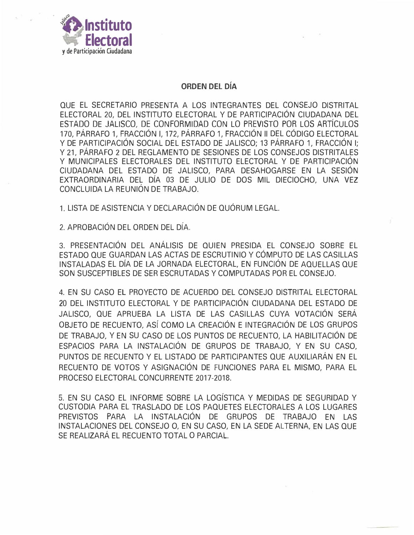

## **ORDEN DEL DÍA**

QUE EL SECRETARIO PRESENTA A LOS INTEGRANTES DEL CONSEJO DISTRITAL ELECTORAL 20, DEL INSTITUTO ELECTORAL Y DE PARTICIPACIÓN CIUDADANA DEL ESTADO DE JALISCO, DE CONFORMIDAD CON LO PREVISTO POR LOS ARTÍCULOS 170, PÁRRAFO 1, FRACCIÓN I, 172, PÁRRAFO 1, FRACCIÓN II DEL CÓDIGO ELECTORAL Y DE PARTICIPACIÓN SOCIAL DEL ESTADO DE JALISCO; 13 PÁRRAFO 1, FRACCIÓN I; Y 21, PÁRRAFO 2 DEL REGLAMENTO DE SESIONES DE LOS CONSEJOS DISTRITALES Y MUNICIPALES ELECTORALES DEL INSTITUTO ELECTORAL Y DE PARTICIPACIÓN CIUDADANA DEL ESTADO DE JALISCO, PARA DESAHOGARSE EN LA SESIÓN EXTRAORDINARIA DEL DÍA 03 DE JULIO DE DOS MIL DIECIOCHO, UNA VEZ CONCLUIDA LA REUNIÓN DE TRABAJO.

1. LISTA DE ASISTENCIA Y DECLARACIÓN DE QUÓRUM LEGAL.

2. APROBACIÓN DEL ORDEN DEL DÍA.

3. PRESENTACIÓN DEL ANÁLISIS DE QUIEN PRESIDA EL CONSEJO SOBRE EL ESTADO QUE GUARDAN LAS ACTAS DE ESCRUTINIO Y CÓMPUTO DE LAS CASILLAS INSTALADAS EL DÍA DE LA JORNADA ELECTORAL, EN FUNCIÓN DE AQUELLAS QUE SON SUSCEPTIBLES DE SER ESCRUTADAS Y COMPUTADAS POR EL CONSEJO.

4. EN SU CASO EL PROYECTO DE ACUERDO DEL CONSEJO DISTRITAL ELECTORAL 20 DEL INSTITUTO ELECTORAL Y DE PARTICIPACIÓN CIUDADANA DEL ESTADO DE JALISCO, QUE APRUEBA LA LISTA DE LAS CASILLAS CUYA VOTACIÓN SERÁ OBJETO DE RECUENTO, ASÍ COMO LA CREACIÓN E INTEGRACIÓN DE LOS GRUPOS DE TRABAJO, Y EN SU CASO DE LOS PUNTOS DE RECUENTO, LA HABILITACIÓN DE ESPACIOS PARA LA INSTALACIÓN DE GRUPOS DE TRABAJO, Y EN SU CASO, PUNTOS DE RECUENTO Y EL LISTADO DE PARTICIPANTES QUE AUXILIARÁN EN EL RECUENTO DE VOTOS Y ASIGNACIÓN DE FUNCIONES PARA EL MISMO, PARA EL PROCESO ELECTORAL CONCURRENTE 2017-2018.

5. EN SU CASO EL INFORME SOBRE LA LOGÍSTICA Y MEDIDAS DE SEGURIDAD Y CUSTODIA PARA EL TRASLADO DE LOS PAQUETES ELECTORALES A LOS LUGARES PREVISTOS PARA LA INSTALACIÓN DE GRUPOS DE TRABAJO EN LAS INSTALACIONES DEL CONSEJO O, EN SU CASO, EN LA SEDE ALTERNA, EN LAS QUE SE REALIZARÁ EL RECUENTO TOTAL O PARCIAL